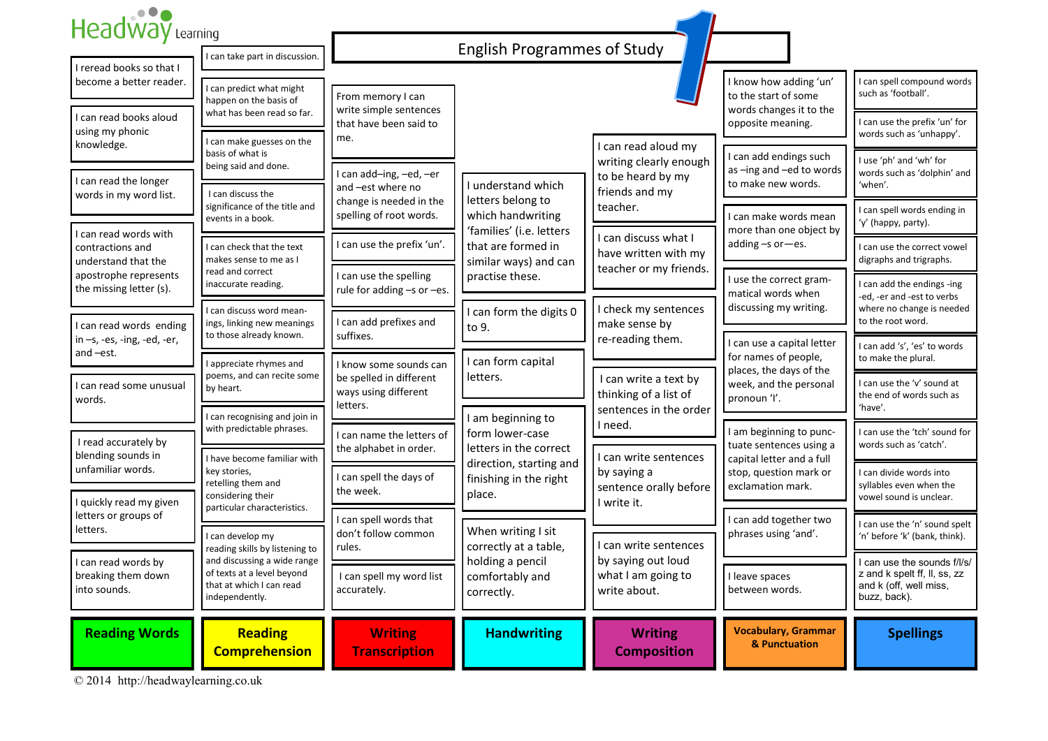| Headway Learning                                                          |                                                                                                                                                  |                                                                                                    | <b>English Programmes of Study</b>                                                                                                      |                                                                                                                                                                            |                                                                                                                                                      |                                                                                                            |
|---------------------------------------------------------------------------|--------------------------------------------------------------------------------------------------------------------------------------------------|----------------------------------------------------------------------------------------------------|-----------------------------------------------------------------------------------------------------------------------------------------|----------------------------------------------------------------------------------------------------------------------------------------------------------------------------|------------------------------------------------------------------------------------------------------------------------------------------------------|------------------------------------------------------------------------------------------------------------|
| I reread books so that I                                                  | I can take part in discussion                                                                                                                    |                                                                                                    |                                                                                                                                         |                                                                                                                                                                            |                                                                                                                                                      |                                                                                                            |
| become a better reader.                                                   | I can predict what might<br>happen on the basis of                                                                                               | From memory I can                                                                                  |                                                                                                                                         |                                                                                                                                                                            | I know how adding 'un'<br>to the start of some                                                                                                       | I can spell compound words<br>such as 'football'.                                                          |
| can read books aloud<br>using my phonic                                   | what has been read so far.                                                                                                                       | write simple sentences<br>that have been said to<br>me.                                            |                                                                                                                                         |                                                                                                                                                                            | words changes it to the<br>opposite meaning.                                                                                                         | I can use the prefix 'un' for<br>words such as 'unhappy'.                                                  |
| knowledge.                                                                | I can make guesses on the<br>basis of what is<br>being said and done.<br>I can discuss the<br>significance of the title and<br>events in a book. | I can add-ing, -ed, -er<br>and -est where no<br>change is needed in the<br>spelling of root words. | I understand which<br>letters belong to<br>which handwriting<br>'families' (i.e. letters<br>that are formed in<br>similar ways) and can | I can read aloud my<br>writing clearly enough<br>to be heard by my<br>friends and my<br>teacher.<br>I can discuss what I<br>have written with my<br>teacher or my friends. | I can add endings such<br>as -ing and -ed to words<br>to make new words.<br>I can make words mean<br>more than one object by                         | I use 'ph' and 'wh' for<br>words such as 'dolphin' and                                                     |
| I can read the longer<br>words in my word list.                           |                                                                                                                                                  |                                                                                                    |                                                                                                                                         |                                                                                                                                                                            |                                                                                                                                                      | 'when'.                                                                                                    |
| can read words with                                                       |                                                                                                                                                  |                                                                                                    |                                                                                                                                         |                                                                                                                                                                            |                                                                                                                                                      | I can spell words ending in<br>'y' (happy, party).                                                         |
| contractions and<br>understand that the                                   | I can check that the text<br>makes sense to me as I                                                                                              | I can use the prefix 'un'.                                                                         |                                                                                                                                         |                                                                                                                                                                            | adding -s or-es.                                                                                                                                     | I can use the correct vowel<br>digraphs and trigraphs.                                                     |
| apostrophe represents<br>the missing letter (s).<br>can read words ending | read and correct<br>inaccurate reading.<br>I can discuss word mean-<br>ings, linking new meanings<br>to those already known.                     | I can use the spelling<br>rule for adding -s or -es.                                               | practise these.                                                                                                                         | I check my sentences<br>make sense by                                                                                                                                      | I use the correct gram-<br>matical words when<br>discussing my writing.                                                                              | I can add the endings -ing<br>-ed, -er and -est to verbs<br>where no change is needed<br>to the root word. |
|                                                                           |                                                                                                                                                  | I can add prefixes and<br>suffixes.                                                                | can form the digits 0<br>to 9.                                                                                                          |                                                                                                                                                                            |                                                                                                                                                      |                                                                                                            |
| in -s, -es, -ing, -ed, -er,<br>and -est.                                  | I appreciate rhymes and<br>poems, and can recite some<br>by heart.                                                                               | I know some sounds can<br>be spelled in different<br>ways using different<br>letters.              | I can form capital                                                                                                                      | re-reading them.                                                                                                                                                           | I can use a capital letter<br>for names of people,                                                                                                   | I can add 's', 'es' to words<br>to make the plural.                                                        |
| can read some unusual<br>words.                                           |                                                                                                                                                  |                                                                                                    | letters.<br>I am beginning to<br>form lower-case<br>letters in the correct<br>direction, starting and                                   | I can write a text by<br>thinking of a list of<br>sentences in the order<br>I need.<br>I can write sentences<br>by saying a<br>sentence orally before<br>I write it.       | places, the days of the<br>week, and the personal<br>pronoun 'l'.<br>I am beginning to punc-<br>tuate sentences using a<br>capital letter and a full | I can use the 'v' sound at<br>the end of words such as<br>'have'.                                          |
|                                                                           | I can recognising and join in<br>with predictable phrases.                                                                                       | I can name the letters of                                                                          |                                                                                                                                         |                                                                                                                                                                            |                                                                                                                                                      | I can use the 'tch' sound for                                                                              |
| I read accurately by<br>blending sounds in<br>unfamiliar words.           | I have become familiar with                                                                                                                      | the alphabet in order.                                                                             |                                                                                                                                         |                                                                                                                                                                            |                                                                                                                                                      | words such as 'catch'.                                                                                     |
| I quickly read my given                                                   | key stories,<br>retelling them and<br>considering their                                                                                          | I can spell the days of<br>the week.                                                               | finishing in the right<br>place.                                                                                                        |                                                                                                                                                                            | stop, question mark or<br>exclamation mark.                                                                                                          | I can divide words into<br>syllables even when the<br>vowel sound is unclear.                              |
| letters or groups of<br>letters.<br>I can read words by                   | particular characteristics.<br>I can develop my<br>reading skills by listening to<br>and discussing a wide range                                 | I can spell words that<br>don't follow common<br>rules.                                            | When writing I sit<br>correctly at a table,<br>holding a pencil                                                                         | can write sentences<br>by saying out loud                                                                                                                                  | can add together two<br>phrases using 'and'.                                                                                                         | I can use the 'n' sound spelt<br>'n' before 'k' (bank, think).                                             |
|                                                                           |                                                                                                                                                  |                                                                                                    |                                                                                                                                         |                                                                                                                                                                            |                                                                                                                                                      | I can use the sounds f/l/s/                                                                                |
| breaking them down<br>into sounds.                                        | of texts at a level beyond<br>that at which I can read<br>independently.                                                                         | I can spell my word list<br>accurately.                                                            | comfortably and<br>correctly.                                                                                                           | what I am going to<br>write about.                                                                                                                                         | I leave spaces<br>between words.                                                                                                                     | z and k spelt ff, ll, ss, zz<br>and k (off, well miss,<br>buzz, back).                                     |
| <b>Reading Words</b>                                                      | <b>Reading</b><br><b>Comprehension</b>                                                                                                           | <b>Writing</b><br><b>Transcription</b>                                                             | <b>Handwriting</b>                                                                                                                      | <b>Writing</b><br><b>Composition</b>                                                                                                                                       | <b>Vocabulary, Grammar</b><br>& Punctuation                                                                                                          | <b>Spellings</b>                                                                                           |

© 2014 http://headwaylearning.co.uk